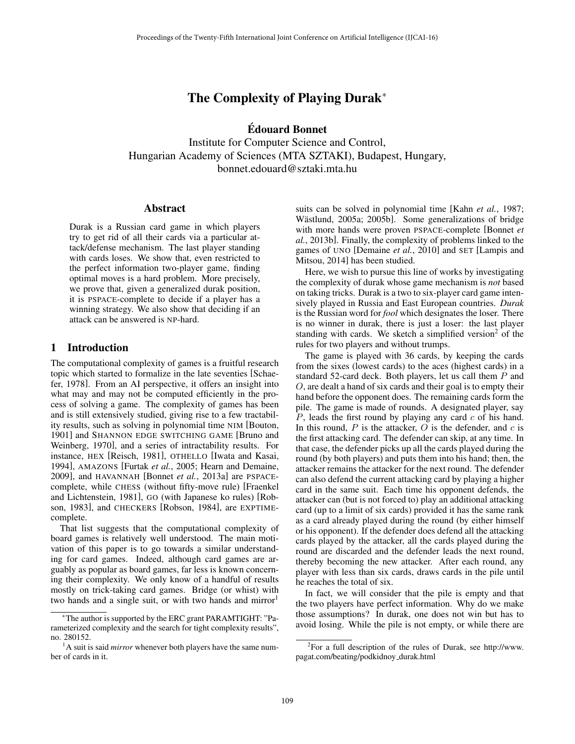# The Complexity of Playing Durak<sup>\*</sup>

Edouard Bonnet ´

Institute for Computer Science and Control, Hungarian Academy of Sciences (MTA SZTAKI), Budapest, Hungary, bonnet.edouard@sztaki.mta.hu

#### Abstract

Durak is a Russian card game in which players try to get rid of all their cards via a particular attack/defense mechanism. The last player standing with cards loses. We show that, even restricted to the perfect information two-player game, finding optimal moves is a hard problem. More precisely, we prove that, given a generalized durak position, it is PSPACE-complete to decide if a player has a winning strategy. We also show that deciding if an attack can be answered is NP-hard.

#### 1 Introduction

The computational complexity of games is a fruitful research topic which started to formalize in the late seventies [Schaefer, 1978]. From an AI perspective, it offers an insight into what may and may not be computed efficiently in the process of solving a game. The complexity of games has been and is still extensively studied, giving rise to a few tractability results, such as solving in polynomial time NIM [Bouton, 1901] and SHANNON EDGE SWITCHING GAME [Bruno and Weinberg, 1970], and a series of intractability results. For instance, HEX [Reisch, 1981], OTHELLO [Iwata and Kasai, 1994], AMAZONS [Furtak *et al.*, 2005; Hearn and Demaine, 2009], and HAVANNAH [Bonnet *et al.*, 2013a] are PSPACEcomplete, while CHESS (without fifty-move rule) [Fraenkel and Lichtenstein, 1981], GO (with Japanese ko rules) [Robson, 1983], and CHECKERS [Robson, 1984], are EXPTIMEcomplete.

That list suggests that the computational complexity of board games is relatively well understood. The main motivation of this paper is to go towards a similar understanding for card games. Indeed, although card games are arguably as popular as board games, far less is known concerning their complexity. We only know of a handful of results mostly on trick-taking card games. Bridge (or whist) with two hands and a single suit, or with two hands and mirror<sup>1</sup>

suits can be solved in polynomial time [Kahn *et al.*, 1987; Wästlund, 2005a; 2005b]. Some generalizations of bridge with more hands were proven PSPACE-complete [Bonnet *et al.*, 2013b]. Finally, the complexity of problems linked to the games of UNO [Demaine *et al.*, 2010] and SET [Lampis and Mitsou, 2014] has been studied.

Here, we wish to pursue this line of works by investigating the complexity of durak whose game mechanism is *not* based on taking tricks. Durak is a two to six-player card game intensively played in Russia and East European countries. *Durak* is the Russian word for *fool* which designates the loser. There is no winner in durak, there is just a loser: the last player standing with cards. We sketch a simplified version<sup>2</sup> of the rules for two players and without trumps.

The game is played with 36 cards, by keeping the cards from the sixes (lowest cards) to the aces (highest cards) in a standard 52-card deck. Both players, let us call them *P* and *O*, are dealt a hand of six cards and their goal is to empty their hand before the opponent does. The remaining cards form the pile. The game is made of rounds. A designated player, say *P*, leads the first round by playing any card *c* of his hand. In this round,  $P$  is the attacker,  $O$  is the defender, and  $c$  is the first attacking card. The defender can skip, at any time. In that case, the defender picks up all the cards played during the round (by both players) and puts them into his hand; then, the attacker remains the attacker for the next round. The defender can also defend the current attacking card by playing a higher card in the same suit. Each time his opponent defends, the attacker can (but is not forced to) play an additional attacking card (up to a limit of six cards) provided it has the same rank as a card already played during the round (by either himself or his opponent). If the defender does defend all the attacking cards played by the attacker, all the cards played during the round are discarded and the defender leads the next round, thereby becoming the new attacker. After each round, any player with less than six cards, draws cards in the pile until he reaches the total of six.

In fact, we will consider that the pile is empty and that the two players have perfect information. Why do we make those assumptions? In durak, one does not win but has to avoid losing. While the pile is not empty, or while there are

<sup>⇤</sup>The author is supported by the ERC grant PARAMTIGHT: "Parameterized complexity and the search for tight complexity results", no. 280152.

<sup>&</sup>lt;sup>1</sup>A suit is said *mirror* whenever both players have the same number of cards in it.

 $2$ For a full description of the rules of Durak, see http://www. pagat.com/beating/podkidnoy durak.html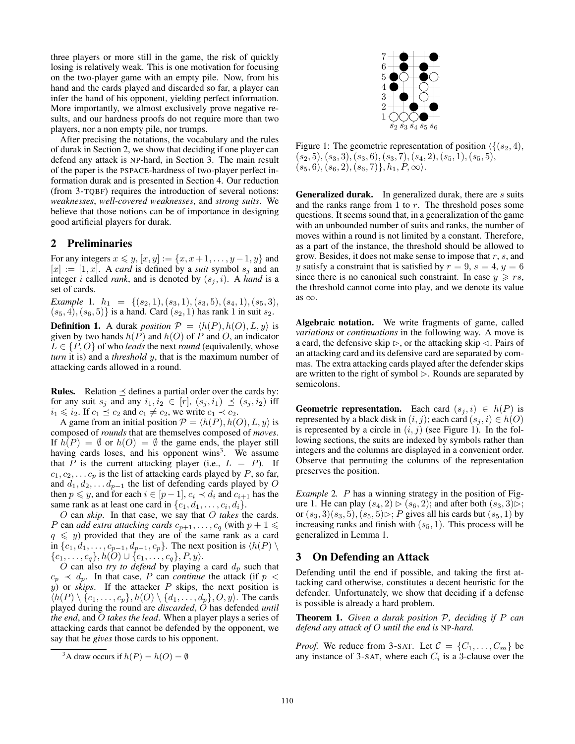three players or more still in the game, the risk of quickly losing is relatively weak. This is one motivation for focusing on the two-player game with an empty pile. Now, from his hand and the cards played and discarded so far, a player can infer the hand of his opponent, yielding perfect information. More importantly, we almost exclusively prove negative results, and our hardness proofs do not require more than two players, nor a non empty pile, nor trumps.

After precising the notations, the vocabulary and the rules of durak in Section 2, we show that deciding if one player can defend any attack is NP-hard, in Section 3. The main result of the paper is the PSPACE-hardness of two-player perfect information durak and is presented in Section 4. Our reduction (from 3-TQBF) requires the introduction of several notions: *weaknesses*, *well-covered weaknesses*, and *strong suits*. We believe that those notions can be of importance in designing good artificial players for durak.

#### 2 Preliminaries

For any integers  $x \leq y$ ,  $[x, y] := \{x, x+1, \ldots, y-1, y\}$  and  $[x] := [1, x]$ . A *card* is defined by a *suit* symbol  $s_j$  and an integer *i* called *rank*, and is denoted by  $(s_i, i)$ . A *hand* is a set of cards.

*Example* 1*.*  $h_1 = \{(s_2, 1), (s_3, 1), (s_3, 5), (s_4, 1), (s_5, 3),\}$  $(s_5, 4), (s_6, 5)$ } is a hand. Card  $(s_2, 1)$  has rank 1 in suit  $s_2$ .

**Definition 1.** A durak *position*  $P = \langle h(P), h(O), L, y \rangle$  is given by two hands  $h(P)$  and  $h(O)$  of P and O, an indicator  $L \in \{P, O\}$  of who *leads* the next *round* (equivalently, whose *turn* it is) and a *threshold y*, that is the maximum number of attacking cards allowed in a round.

**Rules.** Relation  $\leq$  defines a partial order over the cards by: for any suit  $s_j$  and any  $i_1, i_2 \in [r]$ ,  $(s_j, i_1) \preceq (s_j, i_2)$  iff  $i_1 \leq i_2$ . If  $c_1 \leq c_2$  and  $c_1 \neq c_2$ , we write  $c_1 \prec c_2$ .

A game from an initial position  $P = \langle h(P), h(O), L, y \rangle$  is composed of *rounds* that are themselves composed of *moves*. If  $h(P) = \emptyset$  or  $h(O) = \emptyset$  the game ends, the player still having cards loses, and his opponent wins $3$ . We assume that *P* is the current attacking player (i.e.,  $L = P$ ). If  $c_1, c_2, \ldots c_p$  is the list of attacking cards played by *P*, so far, and  $d_1, d_2, \ldots, d_{p-1}$  the list of defending cards played by O then  $p \leq y$ , and for each  $i \in [p-1]$ ,  $c_i \prec d_i$  and  $c_{i+1}$  has the same rank as at least one card in  $\{c_1, d_1, \ldots, c_i, d_i\}$ .

*O* can *skip*. In that case, we say that *O takes* the cards. *P* can *add extra attacking cards*  $c_{p+1}, \ldots, c_q$  (with  $p+1 \leq$  $q \leq y$ ) provided that they are of the same rank as a card in  $\{c_1, d_1, \ldots, c_{p-1}, d_{p-1}, c_p\}$ . The next position is  $\langle h(P) \setminus$  ${c_1, \ldots, c_q}$ *, h*(*O*)  $\cup$  {*c*<sub>1</sub>*,...,c<sub>q</sub></sub>}<i>, P, y*).

*O* can also *try to defend* by playing a card *d<sup>p</sup>* such that  $c_p \prec d_p$ . In that case, *P* can *continue* the attack (if  $p <$  $y$ ) or *skips*. If the attacker *P* skips, the next position is  $\langle h(P) \setminus \{c_1, \ldots, c_p\}, h(O) \setminus \{d_1, \ldots, d_p\}, O, y\rangle$ . The cards played during the round are *discarded*, *O* has defended *until the end*, and *O takes the lead*. When a player plays a series of attacking cards that cannot be defended by the opponent, we say that he *gives* those cards to his opponent.



Figure 1: The geometric representation of position  $\langle \{ (s_2, 4), \} \rangle$ (*s*2*,* 5)*,*(*s*3*,* 3)*,*(*s*3*,* 6)*,*(*s*3*,* 7)*,*(*s*4*,* 2)*,*(*s*5*,* 1)*,*(*s*5*,* 5)*,*  $(s_5, 6), (s_6, 2), (s_6, 7), (h_1, P, \infty).$ 

Generalized durak. In generalized durak, there are *s* suits and the ranks range from 1 to *r*. The threshold poses some questions. It seems sound that, in a generalization of the game with an unbounded number of suits and ranks, the number of moves within a round is not limited by a constant. Therefore, as a part of the instance, the threshold should be allowed to grow. Besides, it does not make sense to impose that *r*, *s*, and *y* satisfy a constraint that is satisfied by  $r = 9$ ,  $s = 4$ ,  $y = 6$ since there is no canonical such constraint. In case  $y \geq rs$ , the threshold cannot come into play, and we denote its value as  $\infty$ .

Algebraic notation. We write fragments of game, called *variations* or *continuations* in the following way. A move is a card, the defensive skip  $\triangleright$ , or the attacking skip  $\triangleleft$ . Pairs of an attacking card and its defensive card are separated by commas. The extra attacking cards played after the defender skips are written to the right of symbol  $\triangleright$ . Rounds are separated by semicolons.

**Geometric representation.** Each card  $(s_j, i) \in h(P)$  is represented by a black disk in  $(i, j)$ ; each card  $(s_j, i) \in h(O)$ is represented by a circle in  $(i, j)$  (see Figure 1). In the following sections, the suits are indexed by symbols rather than integers and the columns are displayed in a convenient order. Observe that permuting the columns of the representation preserves the position.

*Example* 2*. P* has a winning strategy in the position of Figure 1. He can play  $(s_4, 2) \triangleright (s_6, 2)$ ; and after both  $(s_3, 3) \triangleright$ ; or  $(s_3, 3)(s_3, 5)$ ,  $(s_5, 5) \triangleright; P$  gives all his cards but  $(s_5, 1)$  by increasing ranks and finish with  $(s_5, 1)$ . This process will be generalized in Lemma 1.

# 3 On Defending an Attack

Defending until the end if possible, and taking the first attacking card otherwise, constitutes a decent heuristic for the defender. Unfortunately, we show that deciding if a defense is possible is already a hard problem.

Theorem 1. *Given a durak position P, deciding if P can defend any attack of O until the end is* NP*-hard.*

*Proof.* We reduce from 3-SAT. Let  $C = \{C_1, \ldots, C_m\}$  be any instance of 3-SAT, where each  $C_i$  is a 3-clause over the

<sup>&</sup>lt;sup>3</sup>A draw occurs if  $h(P) = h(O) = \emptyset$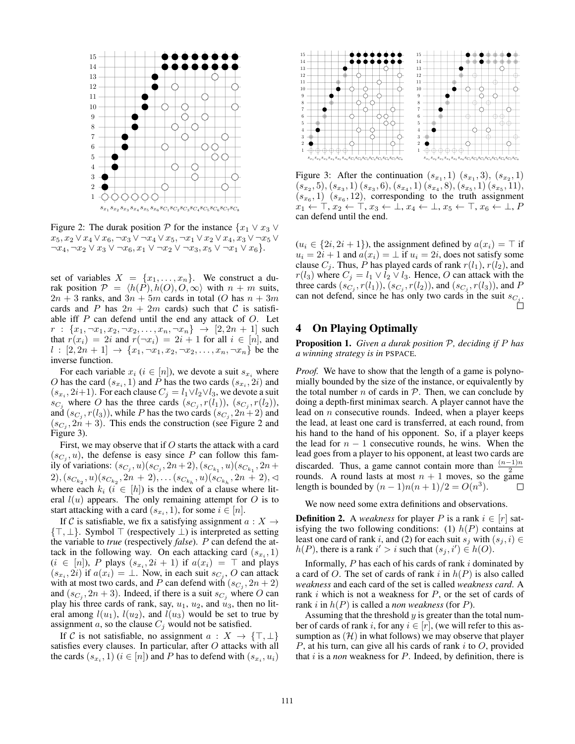

Figure 2: The durak position  $P$  for the instance  $\{x_1 \vee x_3 \vee x_4\}$  $x_5, x_2 \vee x_4 \vee x_6, \neg x_3 \vee \neg x_4 \vee x_5, \neg x_1 \vee x_2 \vee x_4, x_3 \vee \neg x_5 \vee$  $\neg x_4, \neg x_2 \lor x_3 \lor \neg x_6, x_1 \lor \neg x_2 \lor \neg x_3, x_5 \lor \neg x_1 \lor x_6$ .

set of variables  $X = \{x_1, \ldots, x_n\}$ . We construct a durak position  $P = \langle h(P), h(O), O, \infty \rangle$  with  $n + m$  suits,  $2n + 3$  ranks, and  $3n + 5m$  cards in total (*O* has  $n + 3m$ cards and *P* has  $2n + 2m$  cards) such that *C* is satisfiable iff *P* can defend until the end any attack of *O*. Let  $r : \{x_1, \neg x_1, x_2, \neg x_2, \dots, x_n, \neg x_n\} \rightarrow [2, 2n + 1]$  such that  $r(x_i) = 2i$  and  $r(-x_i) = 2i + 1$  for all  $i \in [n]$ , and  $l : [2, 2n + 1] \rightarrow \{x_1, \neg x_1, x_2, \neg x_2, \dots, x_n, \neg x_n\}$  be the inverse function.

For each variable  $x_i$  ( $i \in [n]$ ), we devote a suit  $s_{x_i}$  where *O* has the card  $(s_{x_i}, 1)$  and *P* has the two cards  $(s_{x_i}, 2i)$  and  $(s_{x_i}, 2i+1)$ . For each clause  $C_j = l_1 \vee l_2 \vee l_3$ , we devote a suit *sC<sub>i</sub>* where *O* has the three cards  $(s_{C_i}, r(l_1)), (s_{C_i}, r(l_2)),$ and  $(s_{C_i}, r(l_3))$ , while *P* has the two cards  $(s_{C_i}, 2n+2)$  and  $(s_{C_i}, 2n + 3)$ . This ends the construction (see Figure 2 and Figure 3).

First, we may observe that if *O* starts the attack with a card  $(s_{C_i}, u)$ , the defense is easy since *P* can follow this family of variations:  $(s_{C_j}, u)(s_{C_j}, 2n+2)$ ,  $(s_{C_{k_1}}, u)(s_{C_{k_1}}, 2n+2)$  $(2)$ *,*( $s_{C_{k_2}}, u$ )( $s_{C_{k_2}}, 2n + 2$ ),...( $s_{C_{k_h}}, u$ )( $s_{C_{k_h}}, 2n + 2$ ), where each  $k_i$  ( $i \in [h]$ ) is the index of a clause where literal  $l(u)$  appears. The only remaining attempt for  $O$  is to start attacking with a card  $(s_{x_i}, 1)$ , for some  $i \in [n]$ .

If C is satisfiable, we fix a satisfying assignment  $a: X \rightarrow$  $\{\top, \bot\}$ . Symbol  $\top$  (respectively  $\bot$ ) is interpreted as setting the variable to *true* (respectively *false*). *P* can defend the attack in the following way. On each attacking card  $(s_{x_i}, 1)$  $(i \in [n])$ , *P* plays  $(s_{x_i}, 2i + 1)$  if  $a(x_i) = \top$  and plays  $(s_{x_i}, 2i)$  if  $a(x_i) = \perp$ . Now, in each suit  $s_{C_i}$ , O can attack with at most two cards, and *P* can defend with  $(s_{C_i}, 2n + 2)$ and  $(s_{C_i}, 2n + 3)$ . Indeed, if there is a suit  $s_{C_i}$  where O can play his three cards of rank, say,  $u_1$ ,  $u_2$ , and  $u_3$ , then no literal among  $l(u_1)$ ,  $l(u_2)$ , and  $l(u_3)$  would be set to true by assignment *a*, so the clause  $C_j$  would not be satisfied.

If C is not satisfiable, no assignment  $a: X \to \{\top, \bot\}$ satisfies every clauses. In particular, after *O* attacks with all the cards  $(s_x, 1)$   $(i \in [n])$  and *P* has to defend with  $(s_x, u_i)$ 



Figure 3: After the continuation  $(s_{x_1}, 1)$   $(s_{x_1}, 3)$ ,  $(s_{x_2}, 1)$  $(s_{x_2}, 5), (s_{x_3}, 1)$   $(s_{x_3}, 6), (s_{x_4}, 1)$   $(s_{x_4}, 8), (s_{x_5}, 1)$   $(s_{x_5}, 11),$  $(s_{x_6}, 1)$   $(s_{x_6}, 12)$ , corresponding to the truth assignment  $x_1 \leftarrow \top, x_2 \leftarrow \top, x_3 \leftarrow \bot, x_4 \leftarrow \bot, x_5 \leftarrow \top, x_6 \leftarrow \bot, P$ can defend until the end.

 $(u_i \in \{2i, 2i + 1\})$ , the assignment defined by  $a(x_i) = \top$  if  $u_i = 2i + 1$  and  $a(x_i) = \perp$  if  $u_i = 2i$ , does not satisfy some clause  $C_j$ . Thus, P has played cards of rank  $r(l_1)$ ,  $r(l_2)$ , and  $r(l_3)$  where  $C_j = l_1 \vee l_2 \vee l_3$ . Hence, *O* can attack with the three cards  $(s_{C_i}, r(l_1)), (s_{C_i}, r(l_2)),$  and  $(s_{C_i}, r(l_3)),$  and *P* can not defend, since he has only two cards in the suit  $s_{C_j}$ .

# 4 On Playing Optimally

Proposition 1. *Given a durak position P, deciding if P has a winning strategy is in* PSPACE*.*

*Proof.* We have to show that the length of a game is polynomially bounded by the size of the instance, or equivalently by the total number  $n$  of cards in  $P$ . Then, we can conclude by doing a depth-first minimax search. A player cannot have the lead on *n* consecutive rounds. Indeed, when a player keeps the lead, at least one card is transferred, at each round, from his hand to the hand of his opponent. So, if a player keeps the lead for  $n - 1$  consecutive rounds, he wins. When the lead goes from a player to his opponent, at least two cards are discarded. Thus, a game cannot contain more than  $\frac{(n-1)n}{2}$ rounds. A round lasts at most  $n + 1$  moves, so the game length is bounded by  $(n - 1)n(n + 1)/2 = O(n^3)$ .  $\Box$ 

We now need some extra definitions and observations.

**Definition 2.** A *weakness* for player P is a rank  $i \in [r]$  satisfying the two following conditions: (1)  $h(P)$  contains at least one card of rank *i*, and (2) for each suit  $s_j$  with  $(s_j, i) \in$  $h(P)$ , there is a rank  $i' > i$  such that  $(s_j, i') \in h(O)$ .

Informally, *P* has each of his cards of rank *i* dominated by a card of *O*. The set of cards of rank *i* in *h*(*P*) is also called *weakness* and each card of the set is called *weakness card*. A rank *i* which is not a weakness for *P*, or the set of cards of rank *i* in *h*(*P*) is called a *non weakness* (for *P*).

Assuming that the threshold *y* is greater than the total number of cards of rank *i*, for any  $i \in [r]$ , (we will refer to this assumption as  $(H)$  in what follows) we may observe that player *P*, at his turn, can give all his cards of rank *i* to *O*, provided that *i* is a *non* weakness for *P*. Indeed, by definition, there is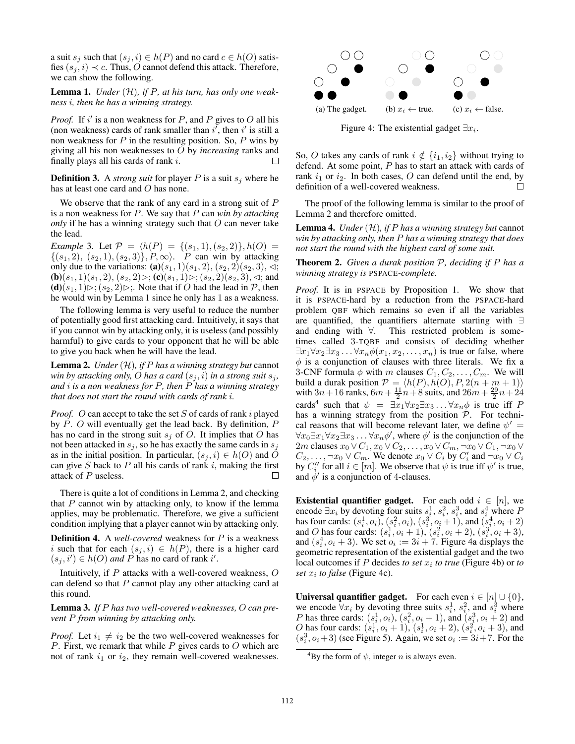a suit  $s_j$  such that  $(s_j, i) \in h(P)$  and no card  $c \in h(O)$  satisfies  $(s_i, i) \prec c$ . Thus, *O* cannot defend this attack. Therefore, we can show the following.

Lemma 1. *Under* (*H*)*, if P, at his turn, has only one weakness i, then he has a winning strategy.*

*Proof.* If  $i'$  is a non weakness for P, and P gives to O all his (non weakness) cards of rank smaller than  $i'$ , then  $i'$  is still a non weakness for *P* in the resulting position. So, *P* wins by giving all his non weaknesses to *O* by *increasing* ranks and finally plays all his cards of rank *i*. П

**Definition 3.** A *strong suit* for player *P* is a suit  $s_j$  where he has at least one card and *O* has none.

We observe that the rank of any card in a strong suit of *P* is a non weakness for *P*. We say that *P* can *win by attacking only* if he has a winning strategy such that *O* can never take the lead.

*Example* 3*.* Let  $P = \{h(P) = \{(s_1, 1), (s_2, 2)\}, h(O) =$  ${(s_1, 2), (s_2, 1), (s_2, 3)}$ *, P,*  $\infty$ *). P can win by attacking* only due to the variations: (a)( $s_1$ , 1)( $s_1$ , 2), ( $s_2$ , 2)( $s_2$ , 3),  $\triangleleft$ ;  $(b)(s_1, 1)(s_1, 2), (s_2, 2) \triangleright; (c)(s_1, 1) \triangleright; (s_2, 2)(s_2, 3), \triangleleft;$  and  $(d)(s_1, 1) \triangleright; (s_2, 2) \triangleright;$ . Note that if *O* had the lead in *P*, then he would win by Lemma 1 since he only has 1 as a weakness.

The following lemma is very useful to reduce the number of potentially good first attacking card. Intuitively, it says that if you cannot win by attacking only, it is useless (and possibly harmful) to give cards to your opponent that he will be able to give you back when he will have the lead.

Lemma 2. *Under* (*H*)*, if P has a winning strategy but* cannot *win by attacking only, O has a card*  $(s_i, i)$  *in a strong suit*  $s_j$ , *and i is a non weakness for P, then P has a winning strategy that does not start the round with cards of rank i.*

*Proof. O* can accept to take the set *S* of cards of rank *i* played by *P*. *O* will eventually get the lead back. By definition, *P* has no card in the strong suit  $s_j$  of *O*. It implies that *O* has not been attacked in  $s_j$ , so he has exactly the same cards in  $s_j$ as in the initial position. In particular,  $(s_i, i) \in h(O)$  and *O* can give *S* back to *P* all his cards of rank *i*, making the first attack of *P* useless.  $\Box$ 

There is quite a lot of conditions in Lemma 2, and checking that *P* cannot win by attacking only, to know if the lemma applies, may be problematic. Therefore, we give a sufficient condition implying that a player cannot win by attacking only.

Definition 4. A *well-covered* weakness for *P* is a weakness *i* such that for each  $(s_i, i) \in h(P)$ , there is a higher card  $(s_j, i') \in h(O)$  *and P* has no card of rank *i'*.

Intuitively, if *P* attacks with a well-covered weakness, *O* can defend so that *P* cannot play any other attacking card at this round.

Lemma 3. *If P has two well-covered weaknesses, O can prevent P from winning by attacking only.*

*Proof.* Let  $i_1 \neq i_2$  be the two well-covered weaknesses for *P*. First, we remark that while *P* gives cards to *O* which are not of rank  $i_1$  or  $i_2$ , they remain well-covered weaknesses.



Figure 4: The existential gadget  $\exists x_i$ .

So, O takes any cards of rank  $i \notin \{i_1, i_2\}$  without trying to defend. At some point, *P* has to start an attack with cards of rank  $i_1$  or  $i_2$ . In both cases, *O* can defend until the end, by definition of a well-covered weakness. definition of a well-covered weakness.

The proof of the following lemma is similar to the proof of Lemma 2 and therefore omitted.

Lemma 4. *Under* (*H*)*, if P has a winning strategy but* cannot *win by attacking only, then P has a winning strategy that does not start the round with the highest card of some suit.*

Theorem 2. *Given a durak position P, deciding if P has a winning strategy is* PSPACE*-complete.*

*Proof.* It is in PSPACE by Proposition 1. We show that it is PSPACE-hard by a reduction from the PSPACE-hard problem QBF which remains so even if all the variables are quantified, the quantifiers alternate starting with  $\exists$ and ending with  $\forall$ . This restricted problem is sometimes called 3-TQBF and consists of deciding whether  $\exists x_1 \forall x_2 \exists x_3 \dots \forall x_n \phi(x_1, x_2, \dots, x_n)$  is true or false, where  $\phi$  is a conjunction of clauses with three literals. We fix a 3-CNF formula  $\phi$  with *m* clauses  $C_1, C_2, \ldots, C_m$ . We will build a durak position  $P = \langle h(P), h(O), P, 2(n + m + 1) \rangle$ <br>with  $3n + 16$  ranks,  $6m + \frac{11}{2}n + 8$  suits, and  $26m + \frac{29}{2}n + 24$ cards<sup>4</sup> such that  $\psi = \exists x_1 \forall x_2 \exists x_3 \dots \forall x_n \phi$  is true iff *P* has a winning strategy from the position *P*. For technical reasons that will become relevant later, we define  $\psi' =$  $\forall x_0 \exists x_1 \forall x_2 \exists x_3 \dots \forall x_n \phi',$  where  $\phi'$  is the conjunction of the 2*m* clauses  $x_0 \vee C_1, x_0 \vee C_2, \ldots, x_0 \vee C_m, \neg x_0 \vee C_1, \neg x_0 \vee C_2$  $C_2, \ldots, \neg x_0 \vee C_m$ . We denote  $x_0 \vee C_i$  by  $C'_i$  and  $\neg x_0 \vee C_i$ by  $C_i''$  for all  $i \in [m]$ . We observe that  $\psi$  is true iff  $\psi'$  is true, and  $\phi'$  is a conjunction of 4-clauses.

**Existential quantifier gadget.** For each odd  $i \in [n]$ , we encode  $\exists x_i$  by devoting four suits  $s_i^1$ ,  $s_i^2$ ,  $s_i^3$ , and  $s_i^4$  where *P* has four cards:  $(s_i^1, o_i)$ ,  $(s_i^2, o_i)$ ,  $(s_i^3, o_i + 1)$ , and  $(s_i^4, o_i + 2)$ and *O* has four cards:  $(s_i^1, o_i + 1), (s_i^2, o_i + 2), (s_i^3, o_i + 3),$ and  $(s_i^4, o_i + 3)$ . We set  $o_i := 3i + 7$ . Figure 4a displays the geometric representation of the existential gadget and the two local outcomes if *P* decides *to set x<sup>i</sup> to true* (Figure 4b) or *to set*  $x_i$  *to false* (Figure 4c).

**Universal quantifier gadget.** For each even  $i \in [n] \cup \{0\}$ , we encode  $\forall x_i$  by devoting three suits  $s_i^1$ ,  $s_i^2$ , and  $s_i^3$  where *P* has three cards:  $(s_i^1, o_i)$ ,  $(s_i^2, o_i + 1)$ , and  $(s_i^3, o_i + 2)$  and *O* has four cards:  $(s_i^1, o_i + 1)$ ,  $(s_i^1, o_i + 2)$ ,  $(s_i^2, o_i + 3)$ , and  $(s_i^3, o_i+3)$  (see Figure 5). Again, we set  $o_i := 3i + 7$ . For the

<sup>&</sup>lt;sup>4</sup>By the form of  $\psi$ , integer *n* is always even.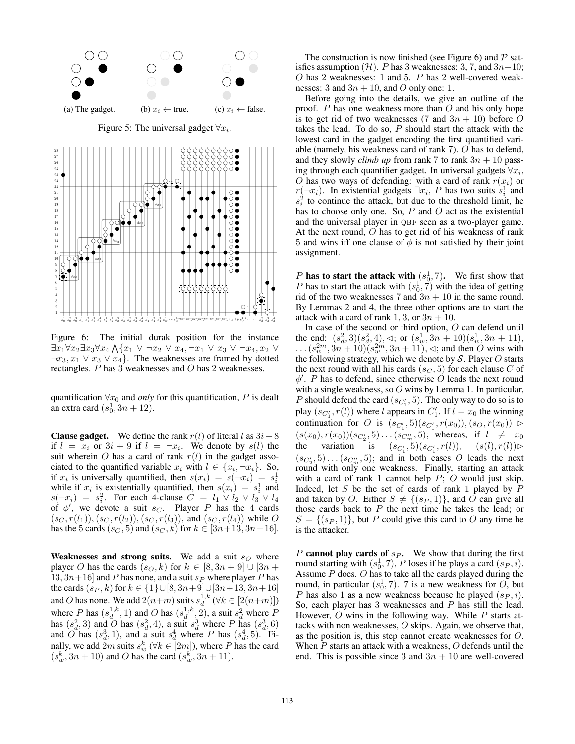

Figure 5: The universal gadget  $\forall x_i$ .



Figure 6: The initial durak position for the instance  $\exists x_1 \forall x_2 \exists x_3 \forall x_4 \bigwedge \{x_1 \vee \neg x_2 \vee x_4, \neg x_1 \vee x_3 \vee \neg x_4, x_2 \vee x_4\}$  $\neg x_3, x_1 \lor x_3 \lor x_4$ . The weaknesses are framed by dotted rectangles. *P* has 3 weaknesses and *O* has 2 weaknesses.

quantification  $\forall x_0$  and *only* for this quantification, *P* is dealt an extra card  $(s_0^1, 3n + 12)$ .

**Clause gadget.** We define the rank  $r(l)$  of literal l as  $3i + 8$ if  $l = x_i$  or  $3i + 9$  if  $l = \neg x_i$ . We denote by  $s(l)$  the suit wherein *O* has a card of rank  $r(l)$  in the gadget associated to the quantified variable  $x_i$  with  $l \in \{x_i, \neg x_i\}$ . So, if  $x_i$  is universally quantified, then  $s(x_i) = s(-x_i) = s_i$ while if  $x_i$  is existentially quantified, then  $s(x_i) = s_i^1$  and  $s(\neg x_i) = s_i^2$ . For each 4-clause  $C = l_1 \vee l_2 \vee l_3 \vee l_4$ <br>of  $\phi'$ , we devote a suit *s<sub>C</sub>*. Player *P* has the 4 cards  $(s_C, r(l_1)), (s_C, r(l_2)), (s_C, r(l_3)),$  and  $(s_C, r(l_4))$  while O has the 5 cards  $(s_C, 5)$  and  $(s_C, k)$  for  $k \in [3n+13, 3n+16]$ .

**Weaknesses and strong suits.** We add a suit  $s<sub>O</sub>$  where player *O* has the cards  $(s_O, k)$  for  $k \in [8, 3n + 9] \cup [3n + 1]$ 13,  $3n+16$  and *P* has none, and a suit  $s_P$  where player *P* has the cards  $(s_P, k)$  for  $k \in \{1\} \cup [8, 3n+9] \cup [3n+13, 3n+16]$ and *O* has none. We add  $2(n+m)$  suits  $s_d^{1,k}$  ( $\forall k \in [2(n+m)]$ ) where *P* has  $(s_d^{1,k}, 1)$  and *O* has  $(s_d^{1,k}, 2)$ , a suit  $s_d^2$  where *P* has  $(s_d^2, 3)$  and *O* has  $(s_d^2, 4)$ , a suit  $s_d^3$  where *P* has  $(s_d^3, 6)$ and *O* has  $(s_d^3, 1)$ , and a suit  $s_d^4$  where *P* has  $(s_d^4, 5)$ . Finally, we add 2*m* suits  $s_w^k$  ( $\forall k \in [2m]$ ), where *P* has the card  $(s_w^k, 3n + 10)$  and *O* has the card  $(s_w^k, 3n + 11)$ .

The construction is now finished (see Figure 6) and *P* satisfies assumption  $(H)$ . *P* has 3 weaknesses: 3, 7, and  $3n+10$ ; *O* has 2 weaknesses: 1 and 5. *P* has 2 well-covered weaknesses: 3 and 3*n* + 10, and *O* only one: 1.

Before going into the details, we give an outline of the proof. *P* has one weakness more than *O* and his only hope is to get rid of two weaknesses (7 and  $3n + 10$ ) before O takes the lead. To do so, *P* should start the attack with the lowest card in the gadget encoding the first quantified variable (namely, his weakness card of rank 7). *O* has to defend, and they slowly *climb up* from rank 7 to rank  $3n + 10$  passing through each quantifier gadget. In universal gadgets  $\forall x_i$ , *O* has two ways of defending: with a card of rank  $r(x_i)$  or  $r(\neg x_i)$ . In existential gadgets  $\exists x_i$ , *P* has two suits  $s_i^1$  and  $s_i^2$  to continue the attack, but due to the threshold limit, he has to choose only one. So, *P* and *O* act as the existential and the universal player in QBF seen as a two-player game. At the next round, *O* has to get rid of his weakness of rank 5 and wins iff one clause of  $\phi$  is not satisfied by their joint assignment.

*P* has to start the attack with  $(s_0^1, 7)$ . We first show that *P* has to start the attack with  $(s_0^1, 7)$  with the idea of getting rid of the two weaknesses 7 and  $3n + 10$  in the same round. By Lemmas 2 and 4, the three other options are to start the attack with a card of rank 1, 3, or  $3n + 10$ .

In case of the second or third option, *O* can defend until the end:  $(s_d^2, 3)(s_d^2, 4)$ ,  $\triangleleft$ ; or  $(s_w^1, 3n + 10)(s_w^1, 3n + 11)$ ,  $($ *s*<sup>2*m*</sup>,  $3n + 10$  $)($  $s_w^{2m}, 3n + 11$  $), \le$  ; and then *O* wins with the following strategy, which we denote by *S*. Player *O* starts the next round with all his cards  $(s_C, 5)$  for each clause C of  $\phi'$ . *P* has to defend, since otherwise *O* leads the next round with a single weakness, so *O* wins by Lemma 1. In particular, *P* should defend the card  $(s_{C_1'}, 5)$ . The only way to do so is to play  $(s_{C_1'}, r(l))$  where *l* appears in  $C_1'$ . If  $l = x_0$  the winning continuation for *O* is  $(s_{C_1'}, 5)(s_{C_1'}, r(x_0)), (s_O, r(x_0)) \triangleright$  $(s(x_0), r(x_0))(s_{C'_2}, 5) \ldots (s_{C''_m}, 5)$ ; whereas, if  $l \neq x_0$ the variation is  $(s_{C_1'}, 5)(s_{C_1'}, r(l)), (s(l), r(l)) \triangleright$  $(s_{C_2'}, 5) \dots (s_{C_m''}, 5)$ ; and in both cases *O* leads the next round with only one weakness. Finally, starting an attack with a card of rank 1 cannot help *P*; *O* would just skip. Indeed, let *S* be the set of cards of rank 1 played by *P* and taken by *O*. Either  $S \neq \{(s_P, 1)\}\$ , and *O* can give all those cards back to *P* the next time he takes the lead; or  $S = \{(s_P, 1)\}\text{, but } P \text{ could give this card to } O \text{ any time he}$ is the attacker.

*P* cannot play cards of  $s_P$ . We show that during the first round starting with  $(s_0^1, 7)$ , *P* loses if he plays a card  $(s_P, i)$ . Assume *P* does. *O* has to take all the cards played during the round, in particular  $(s_0^1, 7)$ . 7 is a new weakness for *O*, but *P* has also 1 as a new weakness because he played  $(s_P, i)$ . So, each player has 3 weaknesses and *P* has still the lead. However, *O* wins in the following way. While *P* starts attacks with non weaknesses, *O* skips. Again, we observe that, as the position is, this step cannot create weaknesses for *O*. When *P* starts an attack with a weakness, *O* defends until the end. This is possible since 3 and  $3n + 10$  are well-covered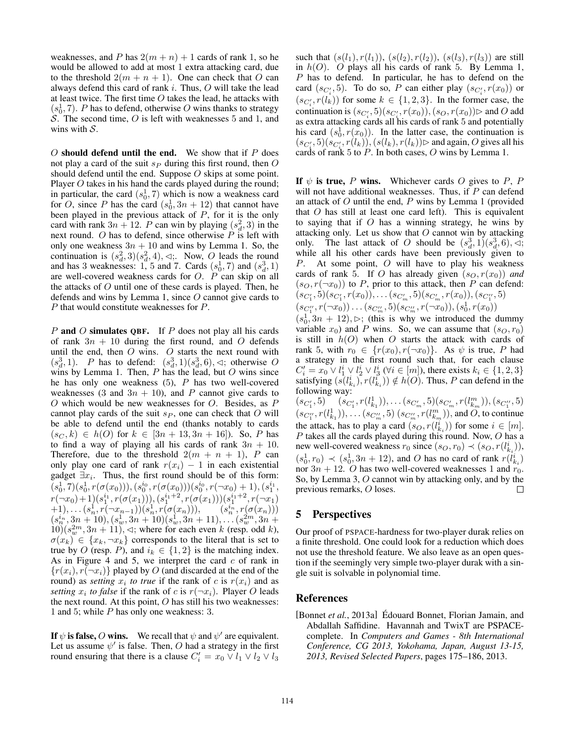weaknesses, and *P* has  $2(m + n) + 1$  cards of rank 1, so he would be allowed to add at most 1 extra attacking card, due to the threshold  $2(m + n + 1)$ . One can check that O can always defend this card of rank *i*. Thus, *O* will take the lead at least twice. The first time *O* takes the lead, he attacks with  $(s_0^1, 7)$ . *P* has to defend, otherwise *O* wins thanks to strategy *S*. The second time, *O* is left with weaknesses 5 and 1, and wins with *S*.

*O* should defend until the end. We show that if *P* does not play a card of the suit *s<sup>P</sup>* during this first round, then *O* should defend until the end. Suppose *O* skips at some point. Player *O* takes in his hand the cards played during the round; in particular, the card  $(s_0^1, 7)$  which is now a weakness card for *O*, since *P* has the card  $(s_0^1, 3n + 12)$  that cannot have been played in the previous attack of *P*, for it is the only card with rank  $3n + 12$ . *P* can win by playing  $(s_d^2, 3)$  in the next round. *O* has to defend, since otherwise *P* is left with only one weakness  $3n + 10$  and wins by Lemma 1. So, the continuation is  $(s_d^2, 3)(s_d^2, 4)$ ,  $\triangleleft$ ; Now, *O* leads the round and has 3 weaknesses: 1, 5 and 7. Cards  $(s_0^1, 7)$  and  $(s_d^3, 1)$ are well-covered weakness cards for *O*. *P* can skip on all the attacks of *O* until one of these cards is played. Then, he defends and wins by Lemma 1, since *O* cannot give cards to *P* that would constitute weaknesses for *P*.

*P* and *O* simulates QBF. If *P* does not play all his cards of rank  $3n + 10$  during the first round, and O defends until the end, then *O* wins. *O* starts the next round with  $(s_d^3, 1)$ . *P* has to defend:  $(s_d^3, 1)(s_d^3, 6)$ ,  $\triangleleft$ ; otherwise *O* wins by Lemma 1. Then, *P* has the lead, but *O* wins since he has only one weakness (5), *P* has two well-covered weaknesses (3 and  $3n + 10$ ), and *P* cannot give cards to *O* which would be new weaknesses for *O*. Besides, as *P* cannot play cards of the suit *s<sup>P</sup>* , one can check that *O* will be able to defend until the end (thanks notably to cards  $(s_C, k) \in h(O)$  for  $k \in [3n + 13, 3n + 16]$ ). So, *P* has to find a way of playing all his cards of rank  $3n + 10$ . Therefore, due to the threshold  $2(m + n + 1)$ , *P* can only play one card of rank  $r(x_i) - 1$  in each existential gadget  $\exists x_i$ . Thus, the first round should be of this form:  $(s_0^1, 7)(s_0^1, r(\sigma(x_0))), (s_0^{i_0}, r(\sigma(x_0)))(s_0^{i_0}, r(\neg x_0) + 1), (s_1^{i_1},$  $\begin{array}{l} r(\neg x_0) + 1)(s_1^{i_1}, r(\sigma(x_1))), (s_1^{i_1+2}, r(\sigma(x_1)))(s_1^{i_1+2}, r(\neg x_1))\ (s_1^{i_1}, r(\neg x_{n-1}))(s_n^1, r(\sigma(x_n))),\qquad \quad \ \ (s_n^{i_n}, r(\sigma(x_n)))\ \end{array}$  $(s_n^{i_n}, 3n + 10), (s_w^1, 3n + 10)(s_w^1, 3n + 11), \ldots (s_w^{2m}, 3n + 1)$  $10(x_w^{2m}, 3n + 11)$ ,  $\triangleleft$ ; where for each even *k* (resp. odd *k*),  $\sigma(x_k) \in \{x_k, \neg x_k\}$  corresponds to the literal that is set to true by *O* (resp. *P*), and  $i_k \in \{1, 2\}$  is the matching index. As in Figure 4 and 5, we interpret the card *c* of rank in  ${r(x_i), r(\neg x_i)}$  played by *O* (and discarded at the end of the round) as *setting*  $x_i$  *to true* if the rank of *c* is  $r(x_i)$  and as *setting*  $x_i$  *to false* if the rank of *c* is  $r(\neg x_i)$ . Player *O* leads the next round. At this point, *O* has still his two weaknesses: 1 and 5; while *P* has only one weakness: 3.

If  $\psi$  is false, O wins. We recall that  $\psi$  and  $\psi'$  are equivalent. Let us assume  $\psi'$  is false. Then, O had a strategy in the first round ensuring that there is a clause  $C'_i = x_0 \vee l_1 \vee l_2 \vee l_3$ 

such that  $(s(l_1), r(l_1))$ ,  $(s(l_2), r(l_2))$ ,  $(s(l_3), r(l_3))$  are still in *h*(*O*). *O* plays all his cards of rank 5. By Lemma 1, *P* has to defend. In particular, he has to defend on the card  $(s_{C_i'}, 5)$ . To do so, *P* can either play  $(s_{C_i'}, r(x_0))$  or  $(s_{C_i'}, r(l_k))$  for some  $k \in \{1, 2, 3\}$ . In the former case, the continuation is  $(s_{C_i'}, 5)(s_{C_i'}, r(x_0)), (s_O, r(x_0))$  $\triangleright$  and *O* add as extra attacking cards all his cards of rank  $5$  and potentially his card  $(s_0^1, r(x_0))$ . In the latter case, the continuation is  $(s_{C'_{i}}, 5)(s_{C'_{i}}, r(l_{k})), (s(l_{k}), r(l_{k})) \triangleright$  and again, *O* gives all his cards of rank 5 to *P*. In both cases, *O* wins by Lemma 1.

If  $\psi$  is true, *P* wins. Whichever cards *O* gives to *P*, *P* will not have additional weaknesses. Thus, if *P* can defend an attack of *O* until the end, *P* wins by Lemma 1 (provided that *O* has still at least one card left). This is equivalent to saying that if *O* has a winning strategy, he wins by attacking only. Let us show that *O* cannot win by attacking only. The last attack of *O* should be  $(s_d^3, 1)(s_d^3, 6)$ ,  $\triangleleft$ ; while all his other cards have been previously given to *P*. At some point, *O* will have to play his weakness cards of rank 5. If *O* has already given  $(s_O, r(x_0))$  and  $(s_O, r(\neg x_0))$  to *P*, prior to this attack, then *P* can defend:  $(s_{C_1'}, 5)(s_{C_1'}, r(x_0)), \ldots (s_{C_m'}, 5)(s_{C_m'}, r(x_0)), (s_{C_1''}, 5)$  $(s_{C''_1}, r(\neg x_0)) \dots (s_{C''_m}, 5)(s_{C''_m}, r(\neg x_0))$ ,  $(s_0^1, r(x_0))$ 

 $(s_0^1, 3n + 12)$ ,  $\triangleright$ ; (this is why we introduced the dummy) variable  $x_0$ ) and *P* wins. So, we can assume that  $(s_O, r_0)$ is still in  $h(O)$  when  $O$  starts the attack with cards of rank 5, with  $r_0 \in \{r(x_0), r(\neg x_0)\}$ . As  $\psi$  is true, *P* had a strategy in the first round such that, for each clause  $C_i' = x_0 \vee l_1^i \vee l_2^i \vee l_3^i \; (\forall i \in [m])$ , there exists  $k_i \in \{1, 2, 3\}$ satisfying  $(s(l_{k_i}^i), r(l_{k_i}^i)) \notin h(O)$ . Thus, *P* can defend in the following way:

 $(s_{C_m'}, r(l_{k_1}^1)), \ldots (s_{C_m'}, 5)(s_{C_m'}, r(l_{k_m}^m)), (s_{C_1''}, 5)$  $(s_{C_1'},5)$   $(s_{C_1'}$  $(s_{C''_1}, r(l^1_{k_1})), \ldots (s_{C''_m}, 5)$   $(s_{C''_m}, r(l^m_{k_m})),$  and *O*, to continue the attack, has to play a card  $(s_O, r(l_{k_i}^i))$  for some  $i \in [m]$ . *P* takes all the cards played during this round. Now, *O* has a new well-covered weakness  $r_0$  since  $(s_O, r_0) \prec (s_O, r(l_{k_i}^i)),$  $(s_0^1, r_0) \prec (s_0^1, 3n + 12)$ , and *O* has no card of rank  $r(l_{k_i}^i)$ nor  $3n + 12$ . *O* has two well-covered weaknesses 1 and  $r_0$ . So, by Lemma 3, *O* cannot win by attacking only, and by the previous remarks, *O* loses. П

# 5 Perspectives

Our proof of PSPACE-hardness for two-player durak relies on a finite threshold. One could look for a reduction which does not use the threshold feature. We also leave as an open question if the seemingly very simple two-player durak with a single suit is solvable in polynomial time.

# References

[Bonnet *et al.*, 2013a] Édouard Bonnet, Florian Jamain, and Abdallah Saffidine. Havannah and TwixT are PSPACEcomplete. In *Computers and Games - 8th International Conference, CG 2013, Yokohama, Japan, August 13-15, 2013, Revised Selected Papers*, pages 175–186, 2013.